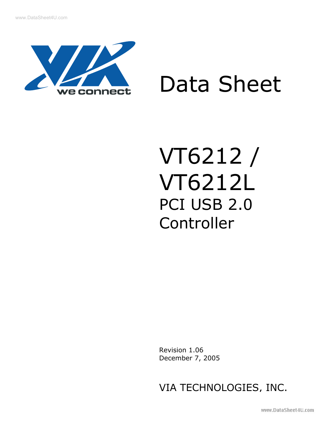

# Data Sheet

## VT6212 / VT6212L PCI USB 2.0 Controller

 Revision 1.06 December 7, 2005

VIA TECHNOLOGIES, INC.

www.DataSheet4U.com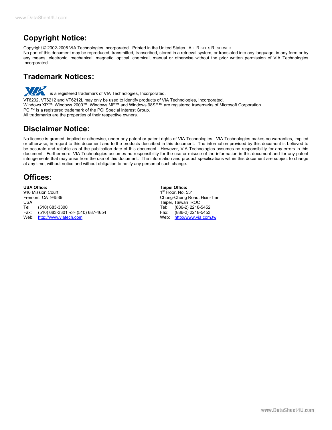## **Copyright Notice:**

Copyright © 2002-2005 VIA Technologies Incorporated. Printed in the United States. ALL RIGHTS RESERVED.

No part of this document may be reproduced, transmitted, transcribed, stored in a retrieval system, or translated into any language, in any form or by any means, electronic, mechanical, magnetic, optical, chemical, manual or otherwise without the prior written permission of VIA Technologies Incorporated.

## **Trademark Notices:**

**WARE is a registered trademark of VIA Technologies, Incorporated.** 

VT6202, VT6212 and VT6212L may only be used to identify products of VIA Technologies, Incorporated. Windows XP™, Windows 2000™, Windows ME™ and Windows 98SE™ are registered trademarks of Microsoft Corporation. PCI™ is a registered trademark of the PCI Special Interest Group.

All trademarks are the properties of their respective owners.

## **Disclaimer Notice:**

No license is granted, implied or otherwise, under any patent or patent rights of VIA Technologies. VIA Technologies makes no warranties, implied or otherwise, in regard to this document and to the products described in this document. The information provided by this document is believed to be accurate and reliable as of the publication date of this document. However, VIA Technologies assumes no responsibility for any errors in this document. Furthermore, VIA Technologies assumes no responsibility for the use or misuse of the information in this document and for any patent infringements that may arise from the use of this document. The information and product specifications within this document are subject to change at any time, without notice and without obligation to notify any person of such change.

## **Offices:**

**USA Office: Taipei Office:**  940 Mission Court Fremont, CA 94539 **Chung-Cheng Road, Hsin-Tien**<br>
USA Chung-Cheng Road, Hsin-Tien<br>
USA Chung-Cheng Rock Tel: (510) 683-3300 Tel: (886-2) 2218-5452 (510) 683-3301 -or- (510) 687-4654 Web: [http://www.viatech.com](http://www.viatech.com/) Web: [http://www.via.com.tw](http://www.via.com.tw/)

Taipei, Taiwan ROC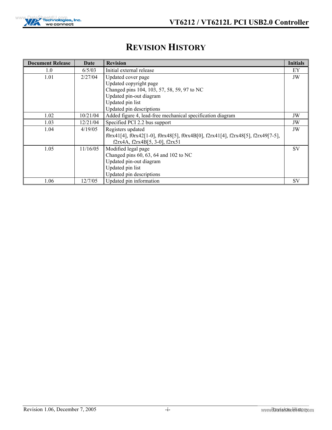

## <span id="page-2-0"></span>**REVISION HISTORY**

| <b>Document Release</b> | Date     | <b>Revision</b>                                                                  | <b>Initials</b> |  |  |
|-------------------------|----------|----------------------------------------------------------------------------------|-----------------|--|--|
| 1.0                     | 6/5/03   | Initial external release                                                         | EY              |  |  |
| 1.01                    | 2/27/04  | Updated cover page                                                               |                 |  |  |
|                         |          | Updated copyright page                                                           |                 |  |  |
|                         |          | Changed pins 104, 103, 57, 58, 59, 97 to NC                                      |                 |  |  |
|                         |          | Updated pin-out diagram                                                          |                 |  |  |
|                         |          | Updated pin list                                                                 |                 |  |  |
|                         |          | Updated pin descriptions                                                         |                 |  |  |
| 1.02                    | 10/21/04 | Added figure 4, lead-free mechanical specification diagram                       |                 |  |  |
| 1.03                    | 12/21/04 | Specified PCI 2.2 bus support                                                    | JW              |  |  |
| 1.04                    | 4/19/05  | Registers updated                                                                | JW              |  |  |
|                         |          | f0rx41[4], f0rx42[1-0], f0rx48[5], f0rx4B[0], f2rx41[4], f2rx48[5], f2rx49[7-5], |                 |  |  |
|                         |          | f2rx4A, f2rx4B[5, 3-0], f2rx51                                                   |                 |  |  |
| 1.05                    | 11/16/05 | Modified legal page                                                              | <b>SV</b>       |  |  |
|                         |          | Changed pins $60, 63, 64$ and $102$ to NC                                        |                 |  |  |
|                         |          | Updated pin-out diagram                                                          |                 |  |  |
|                         |          | Updated pin list                                                                 |                 |  |  |
|                         |          | Updated pin descriptions                                                         |                 |  |  |
| 1.06                    | 12/7/05  | Updated pin information                                                          | <b>SV</b>       |  |  |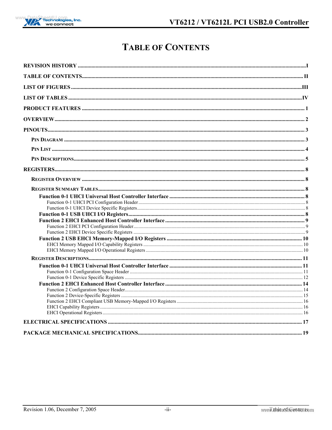

## <span id="page-3-0"></span>**TABLE OF CONTENTS**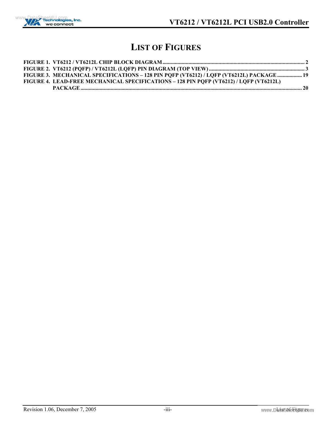

## <span id="page-4-0"></span>**LIST OF FIGURES**

| FIGURE 3. MECHANICAL SPECIFICATIONS - 128 PIN PQFP (VT6212) / LQFP (VT6212L) PACKAGE  19 |  |
|------------------------------------------------------------------------------------------|--|
| FIGURE 4. LEAD-FREE MECHANICAL SPECIFICATIONS - 128 PIN PQFP (VT6212) / LQFP (VT6212L)   |  |
|                                                                                          |  |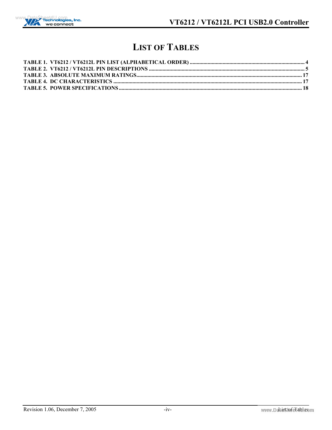

## <span id="page-5-0"></span>**LIST OF TABLES**

| <b>TARLE 5 POWER SPECIFICATIONS</b> | 18 |
|-------------------------------------|----|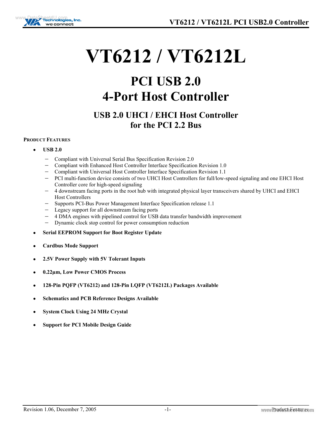

## **VT6212 / VT6212L**

## **PCI USB 2.0 4-Port Host Controller**

## **USB 2.0 UHCI / EHCI Host Controller for the PCI 2.2 Bus**

#### <span id="page-6-0"></span>**PRODUCT FEATURES**

- • **USB 2.0** 
	- − Compliant with Universal Serial Bus Specification Revision 2.0
	- − Compliant with Enhanced Host Controller Interface Specification Revision 1.0
	- − Compliant with Universal Host Controller Interface Specification Revision 1.1
	- − PCI multi-function device consists of two UHCI Host Controllers for full/low-speed signaling and one EHCI Host Controller core for high-speed signaling
	- − 4 downstream facing ports in the root hub with integrated physical layer transceivers shared by UHCI and EHCI Host Controllers
	- − Supports PCI-Bus Power Management Interface Specification release 1.1
	- − Legacy support for all downstream facing ports
	- − 4 DMA engines with pipelined control for USB data transfer bandwidth improvement
	- Dynamic clock stop control for power consumption reduction
- • **Serial EEPROM Support for Boot Register Update**
- • **Cardbus Mode Support**
- • **2.5V Power Supply with 5V Tolerant Inputs**
- • **0.22µm, Low Power CMOS Process**
- • **128-Pin PQFP (VT6212) and 128-Pin LQFP (VT6212L) Packages Available**
- • **Schematics and PCB Reference Designs Available**
- • **System Clock Using 24 MHz Crystal**
- • **Support for PCI Mobile Design Guide**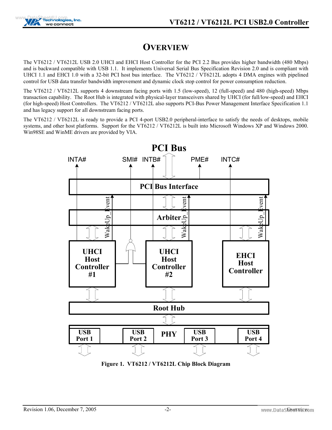

## <span id="page-7-0"></span>**OVERVIEW**

The VT6212 / VT6212L USB 2.0 UHCI and EHCI Host Controller for the PCI 2.2 Bus provides higher bandwidth (480 Mbps) and is backward compatible with USB 1.1. It implements Universal Serial Bus Specification Revision 2.0 and is compliant with UHCI 1.1 and EHCI 1.0 with a 32-bit PCI host bus interface. The VT6212 / VT6212L adopts 4 DMA engines with pipelined control for USB data transfer bandwidth improvement and dynamic clock stop control for power consumption reduction.

The VT6212 / VT6212L supports 4 downstream facing ports with 1.5 (low-speed), 12 (full-speed) and 480 (high-speed) Mbps transaction capability. The Root Hub is integrated with physical-layer transceivers shared by UHCI (for full/low-speed) and EHCI (for high-speed) Host Controllers. The VT6212 / VT6212L also supports PCI-Bus Power Management Interface Specification 1.1 and has legacy support for all downstream facing ports.

The VT6212 / VT6212L is ready to provide a PCI 4-port USB2.0 peripheral-interface to satisfy the needs of desktops, mobile systems, and other host platforms. Support for the VT6212 / VT6212L is built into Microsoft Windows XP and Windows 2000. Win98SE and WinME drivers are provided by VIA.



<span id="page-7-1"></span>**Figure 1. VT6212 / VT6212L Chip Block Diagram**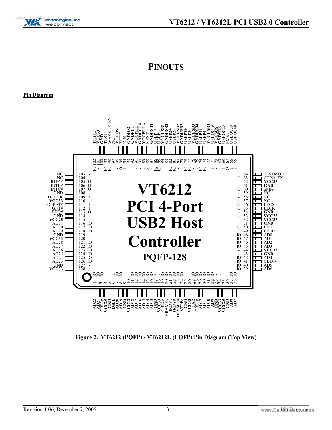

## <span id="page-8-0"></span>**PINOUTS**

<span id="page-8-1"></span>**Pin Diagram**

<span id="page-8-2"></span>

**Figure 2. VT6212 (PQFP) / VT6212L (LQFP) Pin Diagram (Top View)**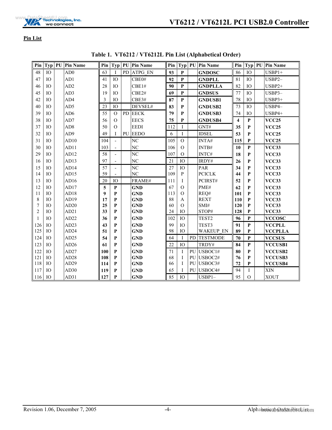

<span id="page-9-0"></span>**Pin List**

| Pin            |                 | Typ   PU   Pin Name |     |                          |           | Pin   Typ   PU   Pin Name | Pin |                |           | Typ   PU   Pin Name |                         | Pin Typ         | PU<br><b>Pin Name</b> |
|----------------|-----------------|---------------------|-----|--------------------------|-----------|---------------------------|-----|----------------|-----------|---------------------|-------------------------|-----------------|-----------------------|
| 48             | IO              | AD0                 | 63  | Ι                        | <b>PD</b> | <b>ATPG EN</b>            | 93  | P              |           | <b>GNDOSC</b>       | 86                      | IO              | $USBP1+$              |
| 47             | IO              | AD1                 | 41  | IO                       |           | CBE0#                     | 92  | $\mathbf{P}$   |           | <b>GNDPLL</b>       | 81                      | IO              | USBP2-                |
| 46             | IO.             | AD2                 | 28  | IO <sub>1</sub>          |           | CBE1#                     | 90  | $\mathbf{P}$   |           | <b>GNDPLLA</b>      | 82                      | IO <sub>1</sub> | $USBP2+$              |
| 45             | IO <sub>1</sub> | AD3                 | 19  | IO                       |           | CBE2#                     | 69  | ${\bf P}$      |           | <b>GNDSUS</b>       | 77                      | IO              | USBP3-                |
| 42             | IO.             | AD4                 | 3   | IO                       |           | CBE3#                     | 87  | ${\bf P}$      |           | <b>GNDUSB1</b>      | 78                      | IO              | $USBP3+$              |
| 40             | IO              | AD5                 | 23  | IO                       |           | DEVSEL#                   | 83  | P              |           | <b>GNDUSB2</b>      | 73                      | IO              | USBP4-                |
| 39             | IO              | AD6                 | 55  | $\Omega$                 | <b>PD</b> | <b>EECK</b>               | 79  | P              |           | <b>GNDUSB3</b>      | 74                      | IO              | USBP4+                |
| 38             | IO <sub>1</sub> | AD7                 | 56  | $\Omega$                 |           | <b>EECS</b>               | 75  | ${\bf P}$      |           | <b>GNDUSB4</b>      | $\overline{\mathbf{4}}$ | $\mathbf{P}$    | <b>VCC25</b>          |
| 37             | IO <sub>1</sub> | AD <sub>8</sub>     | 50  | $\Omega$                 |           | <b>EEDI</b>               | 112 | I              |           | GNT#                | 35                      | P               | <b>VCC25</b>          |
| 32             | IO.             | AD9                 | 49  | I                        | PU        | <b>EEDO</b>               | 6   | $\mathbf I$    |           | <b>IDSEL</b>        | 53                      | P               | <b>VCC25</b>          |
| 31             | IO              | AD10                | 104 | $\overline{\phantom{a}}$ |           | NC                        | 105 | $\overline{O}$ |           | INTA#               | 115                     | P               | <b>VCC25</b>          |
| 30             | IO <sub>1</sub> | AD11                | 103 | $\overline{\phantom{a}}$ |           | N <sub>C</sub>            | 106 | $\Omega$       |           | INTB#               | 10                      | $\mathbf{P}$    | <b>VCC33</b>          |
| 29             | IO.             | AD12                | 58  | $\overline{\phantom{0}}$ |           | NC                        | 107 | $\Omega$       |           | INTC#               | 18                      | P               | <b>VCC33</b>          |
| 16             | IO              | AD <sub>13</sub>    | 97  |                          |           | NC                        | 21  | IO             |           | IRDY#               | 26                      | P               | <b>VCC33</b>          |
| 15             | IO <sub>1</sub> | AD14                | 57  | $\overline{\phantom{a}}$ |           | N <sub>C</sub>            | 27  | IO             |           | PAR                 | 34                      | P               | <b>VCC33</b>          |
| 14             | IO.             | AD15                | 59  |                          |           | NC                        | 109 | P              |           | <b>PCICLK</b>       | 44                      | P               | <b>VCC33</b>          |
| 13             | IO              | AD16                | 20  | IO                       |           | FRAME#                    | 111 | I              |           | PCIRST#             | 52                      | P               | <b>VCC33</b>          |
| 12             | IO              | AD17                | 5   | $\mathbf{P}$             |           | <b>GND</b>                | 67  | $\Omega$       |           | PME#                | 62                      | P               | <b>VCC33</b>          |
| 11             | IO              | AD18                | 9   | P                        |           | <b>GND</b>                | 113 | $\overline{O}$ |           | REQ#                | 101                     | P               | <b>VCC33</b>          |
| $\,$ 8 $\,$    | IO              | AD19                | 17  | P                        |           | <b>GND</b>                | 88  | A              |           | <b>REXT</b>         | 110                     | P               | <b>VCC33</b>          |
| 7              | IO              | AD20                | 25  | P                        |           | <b>GND</b>                | 60  | $\Omega$       |           | SMI#                | 120                     | P               | <b>VCC33</b>          |
| $\overline{c}$ | IO              | AD21                | 33  | P                        |           | <b>GND</b>                | 24  | IO             |           | STOP#               | 128                     | P               | <b>VCC33</b>          |
| $\mathbf{1}$   | IO              | AD22                | 36  | P                        |           | <b>GND</b>                | 102 | IO             |           | TEST <sub>2</sub>   | 96                      | P               | <b>VCCOSC</b>         |
| 126            | IO              | AD <sub>23</sub>    | 43  | P                        |           | <b>GND</b>                | 99  | IO             |           | TEST3               | 91                      | $\mathbf P$     | <b>VCCPLL</b>         |
| 125            | IO              | AD <sub>24</sub>    | 51  | P                        |           | <b>GND</b>                | 98  | IO             |           | <b>WAKEUP EN</b>    | 89                      | P               | <b>VCCPLLA</b>        |
| 124            | IO.             | AD <sub>25</sub>    | 54  | P                        |           | <b>GND</b>                | 64  |                | <b>PD</b> | <b>TESTMODE</b>     | 70                      | $\mathbf{P}$    | <b>VCCSUS</b>         |
| 123            | IO.             | AD26                | 61  | P                        |           | <b>GND</b>                | 22  | IO             |           | TRDY#               | 84                      | $\mathbf{P}$    | <b>VCCUSB1</b>        |
| 122            | IO              | AD27                | 100 | P                        |           | <b>GND</b>                | 71  | Ι              | PU        | USBOC1#             | 80                      | P               | <b>VCCUSB2</b>        |
| 121            | IO              | AD <sub>28</sub>    | 108 | P                        |           | <b>GND</b>                | 68  | I              | PU        | USBOC2#             | 76                      | $\mathbf{P}$    | <b>VCCUSB3</b>        |
| 118            | IO              | AD29                | 114 | $\mathbf{P}$             |           | <b>GND</b>                | 66  | I              | PU        | USBOC3#             | 72                      | P               | <b>VCCUSB4</b>        |
| 117            | IO              | AD30                | 119 | P                        |           | <b>GND</b>                | 65  |                | PU        | USBOC4#             | 94                      | I               | XIN                   |
| 116            | IO              | AD31                | 127 | P                        |           | <b>GND</b>                | 85  | IO             |           | $USBP1-$            | 95                      | $\Omega$        | <b>XOUT</b>           |

<span id="page-9-1"></span>**Table 1. VT6212 / VT6212L Pin List (Alphabetical Order)**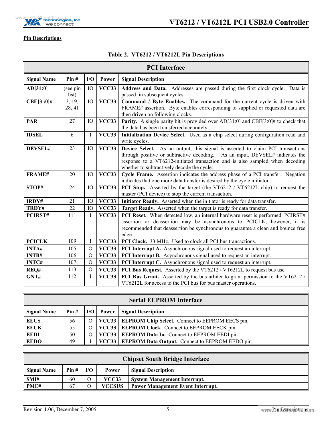

5

#### <span id="page-10-0"></span>**Pin Descriptions**

F

#### <span id="page-10-1"></span>**Table 2. VT6212 / VT6212L Pin Descriptions**

| <b>PCI</b> Interface |                   |                 |              |                                                                                                                                                                                                                                                                                              |  |  |  |
|----------------------|-------------------|-----------------|--------------|----------------------------------------------------------------------------------------------------------------------------------------------------------------------------------------------------------------------------------------------------------------------------------------------|--|--|--|
| <b>Signal Name</b>   | Pin#              | I/O             | Power        | <b>Signal Description</b>                                                                                                                                                                                                                                                                    |  |  |  |
| AD[31:0]             | (see pin<br>list) | IO              | <b>VCC33</b> | Address and Data. Addresses are passed during the first clock cycle. Data is<br>passed in subsequent cycles.                                                                                                                                                                                 |  |  |  |
| $CBE[3:0]$ #         | 3, 19,<br>28, 41  | IO              | VCC33        | Command / Byte Enables. The command for the current cycle is driven with<br>FRAME# assertion. Byte enables corresponding to supplied or requested data are<br>then driven on following clocks.                                                                                               |  |  |  |
| <b>PAR</b>           | 27                | IO              | VCC33        | <b>Parity.</b> A single parity bit is provided over AD[31:0] and CBE[3:0]# to check that<br>the data has been transferred accurately                                                                                                                                                         |  |  |  |
| <b>IDSEL</b>         | 6                 | I               | <b>VCC33</b> | Initialization Device Select. Used as a chip select during configuration read and<br>write cycles.                                                                                                                                                                                           |  |  |  |
| DEVSEL#              | 23                | IO              | <b>VCC33</b> | Device Select. As an output, this signal is asserted to claim PCI transactions<br>through positive or subtractive decoding. As an input, DEVSEL# indicates the<br>response to a VT6212-initiated transaction and is also sampled when decoding<br>whether to subtractively decode the cycle. |  |  |  |
| <b>FRAME#</b>        | 20                | IO <sub>1</sub> | <b>VCC33</b> | Cycle Frame. Assertion indicates the address phase of a PCI transfer. Negation<br>indicates that one more data transfer is desired by the cycle initiator.                                                                                                                                   |  |  |  |
| STOP#                | 24                | IO              | <b>VCC33</b> | PCI Stop. Asserted by the target (the VT6212 / VT6212L chip) to request the<br>master (PCI device) to stop the current transaction.                                                                                                                                                          |  |  |  |
| IRDY#                | 21                | IO              | VCC33        | Initiator Ready. Asserted when the initiator is ready for data transfer.                                                                                                                                                                                                                     |  |  |  |
| TRDY#                | 22                | IO              | VCC33        | Target Ready. Asserted when the target is ready for data transfer.                                                                                                                                                                                                                           |  |  |  |
| PCIRST#              | 111               | I               | VCC33        | PCI Reset. When detected low, an internal hardware reset is performed. PCIRST#<br>assertion or deassertion may be asynchronous to PCICLK, however, it is<br>recommended that deassertion be synchronous to guarantee a clean and bounce free<br>edge.                                        |  |  |  |
| <b>PCICLK</b>        | 109               | I               | VCC33        | PCI Clock. 33 MHz. Used to clock all PCI bus transactions.                                                                                                                                                                                                                                   |  |  |  |
| INTA#                | 105               | $\Omega$        | VCC33        | <b>PCI Interrupt A.</b> Asynchronous signal used to request an interrupt.                                                                                                                                                                                                                    |  |  |  |
| <b>INTB#</b>         | 106               | $\Omega$        | VCC33        | <b>PCI Interrupt B.</b> Asynchronous signal used to request an interrupt.                                                                                                                                                                                                                    |  |  |  |
| <b>INTC#</b>         | 107               | $\Omega$        | VCC33        | PCI Interrupt C. Asynchronous signal used to request an interrupt.                                                                                                                                                                                                                           |  |  |  |
| REQ#                 | 113               | $\Omega$        | <b>VCC33</b> | <b>PCI Bus Request.</b> Asserted by the VT6212 / VT6212L to request bus use.                                                                                                                                                                                                                 |  |  |  |
| GNT#                 | 112               | I               | <b>VCC33</b> | PCI Bus Grant. Asserted by the bus arbiter to grant permission to the VT6212 /<br>VT6212L for access to the PCI bus for bus master operations.                                                                                                                                               |  |  |  |

| <b>Serial EEPROM Interface</b>                                              |    |          |  |                                                              |  |  |  |
|-----------------------------------------------------------------------------|----|----------|--|--------------------------------------------------------------|--|--|--|
| I/O   Power   Signal Description<br><b>Signal Name</b><br>$\textbf{Pin} \#$ |    |          |  |                                                              |  |  |  |
| <b>EECS</b>                                                                 | 56 |          |  | <b>VCC33</b> EEPROM Chip Select. Connect to EEPROM EECS pin. |  |  |  |
| <b>EECK</b>                                                                 | 55 | $\circ$  |  | <b>VCC33</b> EEPROM Clock. Connect to EEPROM EECK pin.       |  |  |  |
| <b>EEDI</b>                                                                 | 50 | $\Omega$ |  | <b>VCC33</b> EEPROM Data In. Connect to EEPROM EEDI pin.     |  |  |  |
| <b>EEDO</b>                                                                 | 49 |          |  | VCC33   EEPROM Data Output. Connect to EEPROM EEDO pin.      |  |  |  |

| <b>Chipset South Bridge Interface</b> |                                                   |  |               |                                          |  |  |  |
|---------------------------------------|---------------------------------------------------|--|---------------|------------------------------------------|--|--|--|
| <b>Signal Name</b>                    | I/O<br>Pin#<br><b>Signal Description</b><br>Power |  |               |                                          |  |  |  |
| SMI#                                  | 60                                                |  | <b>VCC33</b>  | <b>System Management Interrupt.</b>      |  |  |  |
| PME#                                  | 67                                                |  | <b>VCCSUS</b> | <b>Power Management Event Interrupt.</b> |  |  |  |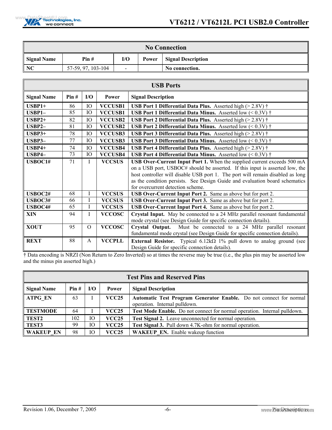

| <b>No Connection</b> |                    |                          |       |                           |  |  |  |  |  |
|----------------------|--------------------|--------------------------|-------|---------------------------|--|--|--|--|--|
| <b>Signal Name</b>   | Pin#               | I/O                      | Power | <b>Signal Description</b> |  |  |  |  |  |
| NC                   | 57-59, 97, 103-104 | $\overline{\phantom{0}}$ |       | No connection.            |  |  |  |  |  |

| <b>USB Ports</b>   |      |          |                |                                                                                    |  |  |
|--------------------|------|----------|----------------|------------------------------------------------------------------------------------|--|--|
| <b>Signal Name</b> | Pin# | I/O      | Power          | <b>Signal Description</b>                                                          |  |  |
| $USBP1+$           | 86   | IO       | <b>VCCUSB1</b> | <b>USB Port 1 Differential Data Plus.</b> Asserted high $(>2.8V)$ †                |  |  |
| USBP1-             | 85   | IO       | <b>VCCUSB1</b> | <b>USB Port 1 Differential Data Minus.</b> Asserted low $(< 0.3V$ ) $\dagger$      |  |  |
| $USBP2+$           | 82   | IO       | <b>VCCUSB2</b> | <b>USB Port 2 Differential Data Plus.</b> Asserted high ( $> 2.8V$ ) $\dagger$     |  |  |
| $USBP2-$           | 81   | IO       | <b>VCCUSB2</b> | <b>USB Port 2 Differential Data Minus.</b> Asserted low $(< 0.3V$ ) $\dagger$      |  |  |
| $USBP3+$           | 78   | IO       | <b>VCCUSB3</b> | <b>USB Port 3 Differential Data Plus.</b> Asserted high $(>2.8V)$ †                |  |  |
| $USBP3-$           | 77   | IO       | <b>VCCUSB3</b> | <b>USB Port 3 Differential Data Minus.</b> Asserted low $(< 0.3V$ ) $\dagger$      |  |  |
| $USBP4+$           | 74   | IO       | <b>VCCUSB4</b> | <b>USB Port 4 Differential Data Plus.</b> Asserted high $(>2.8V)$ †                |  |  |
| USBP4-             | 73   | IO       | <b>VCCUSB4</b> | <b>USB Port 4 Differential Data Minus.</b> Asserted low $(< 0.3V$ ) $\dagger$      |  |  |
| USBOC1#            | 71   | Ι        | <b>VCCSUS</b>  | USB Over-Current Input Port 1. When the supplied current exceeds 500 mA            |  |  |
|                    |      |          |                | on a USB port, USBOC# should be asserted. If this input is asserted low, the       |  |  |
|                    |      |          |                | host controller will disable USB port 1. The port will remain disabled as long     |  |  |
|                    |      |          |                | as the condition persists. See Design Guide and evaluation board schematics        |  |  |
|                    |      |          |                | for overcurrent detection scheme.                                                  |  |  |
| USBOC2#            | 68   | I        | <b>VCCSUS</b>  | USB Over-Current Input Port 2. Same as above but for port 2.                       |  |  |
| USBOC3#            | 66   | I        | <b>VCCSUS</b>  | USB Over-Current Input Port 3. Same as above but for port 2.                       |  |  |
| USBOC4#            | 65   | T        | <b>VCCSUS</b>  | USB Over-Current Input Port 4. Same as above but for port 2.                       |  |  |
| <b>XIN</b>         | 94   | I        | <b>VCCOSC</b>  | Crystal Input. May be connected to a 24 MHz parallel resonant fundamental          |  |  |
|                    |      |          |                | mode crystal (see Design Guide for specific connection details).                   |  |  |
| <b>XOUT</b>        | 95   | $\Omega$ | <b>VCCOSC</b>  | Must be connected to a 24 MHz parallel resonant<br>Crystal Output.                 |  |  |
|                    |      |          |                | fundamental mode crystal (see Design Guide for specific connection details).       |  |  |
| <b>REXT</b>        | 88   | A        | <b>VCCPLL</b>  | <b>External Resistor.</b> Typical $6.12k\Omega$ 1% pull down to analog ground (see |  |  |
|                    |      |          |                | Design Guide for specific connection details).                                     |  |  |

† Data encoding is NRZI (Non Return to Zero Inverted) so at times the reverse may be true (i.e., the plus pin may be asserted low and the minus pin asserted high.)

| <b>Test Pins and Reserved Pins</b> |      |     |              |                                                                                                            |  |  |  |
|------------------------------------|------|-----|--------------|------------------------------------------------------------------------------------------------------------|--|--|--|
| <b>Signal Name</b>                 | Pin# | I/O | Power        | <b>Signal Description</b>                                                                                  |  |  |  |
| <b>ATPG EN</b>                     | 63   |     | <b>VCC25</b> | <b>Automatic Test Program Generator Enable.</b> Do not connect for normal<br>operation. Internal pulldown. |  |  |  |
| <b>TESTMODE</b>                    | 64   |     | <b>VCC25</b> | Test Mode Enable. Do not connect for normal operation. Internal pulldown.                                  |  |  |  |
| <b>TEST2</b>                       | 102  | IO  | <b>VCC25</b> | Test Signal 2. Leave unconnected for normal operation.                                                     |  |  |  |
| <b>TEST3</b>                       | 99   | IO  | <b>VCC25</b> | Test Signal 3. Pull down 4.7K-ohm for normal operation.                                                    |  |  |  |
| <b>WAKEUP EN</b>                   | 98   | Ю   | <b>VCC25</b> | <b>WAKEUP EN.</b> Enable wakeup function                                                                   |  |  |  |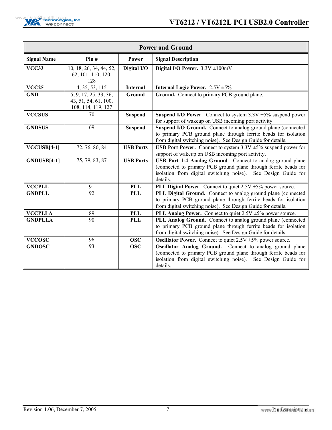| <b>Power and Ground</b> |                                                                     |                  |                                                                                                                                                                                                             |  |  |  |  |
|-------------------------|---------------------------------------------------------------------|------------------|-------------------------------------------------------------------------------------------------------------------------------------------------------------------------------------------------------------|--|--|--|--|
| <b>Signal Name</b>      | Pin#                                                                | Power            | <b>Signal Description</b>                                                                                                                                                                                   |  |  |  |  |
| VCC33                   | 10, 18, 26, 34, 44, 52,<br>62, 101, 110, 120,<br>128                | Digital I/O      | Digital I/O Power. $3.3V \pm 100$ mV                                                                                                                                                                        |  |  |  |  |
| <b>VCC25</b>            | 4, 35, 53, 115                                                      | <b>Internal</b>  | <b>Internal Logic Power.</b> $2.5V \pm 5\%$                                                                                                                                                                 |  |  |  |  |
| <b>GND</b>              | 5, 9, 17, 25, 33, 36,<br>43, 51, 54, 61, 100,<br>108, 114, 119, 127 | <b>Ground</b>    | Ground. Connect to primary PCB ground plane.                                                                                                                                                                |  |  |  |  |
| <b>VCCSUS</b>           | 70                                                                  | <b>Suspend</b>   | <b>Suspend I/O Power.</b> Connect to system $3.3V \pm 5\%$ suspend power<br>for support of wakeup on USB incoming port activity.                                                                            |  |  |  |  |
| <b>GNDSUS</b>           | 69                                                                  | <b>Suspend</b>   | Suspend I/O Ground. Connect to analog ground plane (connected<br>to primary PCB ground plane through ferrite beads for isolation<br>from digital switching noise). See Design Guide for details.            |  |  |  |  |
| $VCCUSB[4-1]$           | 72, 76, 80, 84                                                      | <b>USB Ports</b> | <b>USB Port Power.</b> Connect to system $3.3V \pm 5\%$ suspend power for<br>support of wakeup on USB incoming port activity.                                                                               |  |  |  |  |
| GNDUSB[4-1]             | 75, 79, 83, 87                                                      | <b>USB Ports</b> | USB Port 1-4 Analog Ground. Connect to analog ground plane<br>(connected to primary PCB ground plane through ferrite beads for<br>isolation from digital switching noise). See Design Guide for<br>details. |  |  |  |  |
| <b>VCCPLL</b>           | 91                                                                  | <b>PLL</b>       | PLL Digital Power. Connect to quiet $2.5V \pm 5\%$ power source.                                                                                                                                            |  |  |  |  |
| <b>GNDPLL</b>           | 92                                                                  | <b>PLL</b>       | PLL Digital Ground. Connect to analog ground plane (connected<br>to primary PCB ground plane through ferrite beads for isolation<br>from digital switching noise). See Design Guide for details.            |  |  |  |  |
| <b>VCCPLLA</b>          | 89                                                                  | <b>PLL</b>       | PLL Analog Power. Connect to quiet $2.5V \pm 5\%$ power source.                                                                                                                                             |  |  |  |  |
| <b>GNDPLLA</b>          | 90                                                                  | <b>PLL</b>       | PLL Analog Ground. Connect to analog ground plane (connected<br>to primary PCB ground plane through ferrite beads for isolation<br>from digital switching noise). See Design Guide for details.             |  |  |  |  |
| <b>VCCOSC</b>           | 96                                                                  | <b>OSC</b>       | <b>Oscillator Power.</b> Connect to quiet $2.5V \pm 5\%$ power source.                                                                                                                                      |  |  |  |  |
| <b>GNDOSC</b>           | 93                                                                  | <b>OSC</b>       | Oscillator Analog Ground. Connect to analog ground plane<br>(connected to primary PCB ground plane through ferrite beads for<br>isolation from digital switching noise). See Design Guide for<br>details.   |  |  |  |  |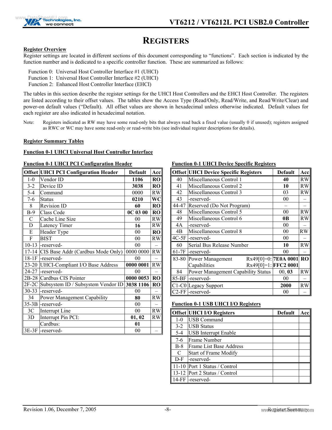

## <span id="page-13-0"></span>**REGISTERS**

#### <span id="page-13-1"></span>**Register Overview**

Register settings are located in different sections of this document corresponding to "functions". Each section is indicated by the function number and is dedicated to a specific controller function. These are summarized as follows:

- Function 0: Universal Host Controller Interface #1 (UHCI)
- Function 1: Universal Host Controller Interface #2 (UHCI)
- Function 2: Enhanced Host Controller Interface (EHCI)

The tables in this section describe the register settings for the UHCI Host Controllers and the EHCI Host Controller. The registers are listed according to their offset values. The tables show the Access Type (Read/Only, Read/Write, and Read/Write/Clear) and power-on default values ("Default). All offset values are shown in hexadecimal unless otherwise indicated. Default values for each register are also indicated in hexadecimal notation.

Note: Registers indicated as RW may have some read-only bits that always read back a fixed value (usually 0 if unused); registers assigned as RWC or WC may have some read-only or read-write bits (see individual register descriptions for details).

#### <span id="page-13-2"></span>**Register Summary Tables**

#### <span id="page-13-3"></span>**Function 0-1 UHCI Universal Host Controller Interface**

#### <span id="page-13-4"></span>**Function 0-1 UHCI PCI Configuration Header**

|                | Offset UHCI PCI Configuration Header  | <b>Default</b> | Acc                    |
|----------------|---------------------------------------|----------------|------------------------|
| $1 - 0$        | Vendor ID                             | 1106           | <b>RO</b>              |
| $3 - 2$        | Device ID                             | 3038           | <b>RO</b>              |
| $5-4$          | Command                               | 0000           | RW                     |
| $7-6$          | <b>Status</b>                         | 0210           | WC                     |
| 8              | <b>Revision ID</b>                    | 60             | <b>RO</b>              |
| $B-9$          | Class Code                            | $0C$ 03 $00$   | <b>RO</b>              |
| $\mathcal{C}$  | Cache Line Size                       | 0 <sup>0</sup> | <b>RW</b>              |
| D              | Latency Timer                         | 16             | $\mathbf{R}\mathbf{W}$ |
| E              | Header Type                           | 00             | <b>RO</b>              |
| F              | <b>BIST</b>                           | 0 <sub>0</sub> | RW                     |
| $10 - 13$      | -reserved-                            | 0 <sub>0</sub> |                        |
| $17 - 14$      | CIS Base Addr (Cardbus Mode Only)     | 0000 0000      | RW                     |
| $18-1F$        | -reserved-                            | 0 <sub>0</sub> |                        |
|                | 23-20 UHCI-Compliant I/O Base Address | 0000 0001      | RW                     |
| 24-27          | -reserved-                            | 0 <sub>0</sub> |                        |
| 2B-28          | Cardbus CIS Pointer                   | 0000 0053      | <b>RO</b>              |
| $2F-2C$        | Subsystem ID / Subsystem Vendor ID    | 3038 1106      | <b>RO</b>              |
| $30 - 33$      | -reserved-                            | 00             |                        |
| 34             | <b>Power Management Capability</b>    | 80             | <b>RW</b>              |
| $35-3B$        | -reserved-                            | 0 <sub>0</sub> |                        |
| 3 <sup>C</sup> | Interrupt Line                        | 0 <sub>0</sub> | <b>RW</b>              |
| 3D             | Interrupt Pin PCI:                    | 01, 02         | RW                     |
|                | Cardbus:                              | 01             |                        |
|                | 3E-3F - reserved-                     | 00             |                        |

#### <span id="page-13-5"></span>**Function 0-1 UHCI Device Specific Registers**

|         | <b>Offset UHCI Device Specific Registers</b> | <b>Default</b> | Acc       |
|---------|----------------------------------------------|----------------|-----------|
| 40      | Miscellaneous Control 1                      | 40             | RW        |
| 41      | Miscellaneous Control 2                      | 10             | <b>RW</b> |
| 42      | Miscellaneous Control 3                      | 03             | <b>RW</b> |
| 43      | -reserved-                                   | 00             |           |
| 44-47   | Reserved (Do Not Program)                    |                |           |
| 48      | Miscellaneous Control 5                      | 00             | <b>RW</b> |
| 49      | Miscellaneous Control 6                      | 0B             | <b>RW</b> |
| 4A      | -reserved-                                   | 00             |           |
| 4B      | Miscellaneous Control 8                      | 00             | RW        |
| $4C-5F$ | -reserved-                                   | 00             |           |
| 60      | Serial Bus Release Number                    | 10             | <b>RW</b> |
| 61-7F   | -reserved-                                   | 00             |           |
| 83-80   | Rx49[0]=0: 7E0A 0001<br>Power Management     |                | <b>RO</b> |
|         | Capabilities<br>Rx49[0]=1: FFC2 0001         |                |           |
| 84      | Power Management Capability Status           | 00, 03         | <b>RW</b> |
| 85-BF   | -reserved-                                   | 00             |           |
|         | C1-C0 Legacy Support                         | 2000           | <b>RW</b> |
|         | C <sub>2</sub> -FF  -reserved-               | 00             |           |

#### <span id="page-13-6"></span>**Function 0-1 USB UHCI I/O Registers**

|         | Offset UHCI I/O Registers     | <b>Default</b> | Acc |
|---------|-------------------------------|----------------|-----|
| $1 - 0$ | <b>USB Command</b>            |                |     |
| $3 - 2$ | <b>USB</b> Status             |                |     |
| $5-4$   | <b>USB</b> Interrupt Enable   |                |     |
| $7 - 6$ | Frame Number                  |                |     |
| $B-8$   | Frame List Base Address       |                |     |
| C       | <b>Start of Frame Modify</b>  |                |     |
| $D-F$   | -reserved-                    |                |     |
|         | 11-10 Port 1 Status / Control |                |     |
|         | 13-12 Port 2 Status / Control |                |     |
|         | 14-FF  -reserved-             |                |     |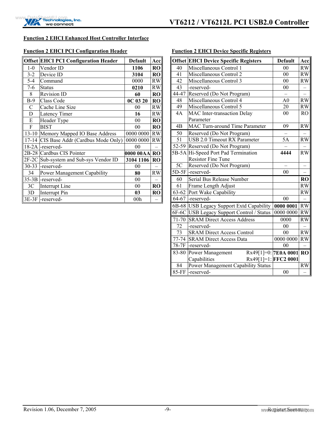#### <span id="page-14-0"></span>**Function 2 EHCI Enhanced Host Controller Interface**

#### <span id="page-14-1"></span>**Function 2 EHCI PCI Configuration Header**

|                | <b>Offset EHCI PCI Configuration Header</b> | <b>Default</b>  | Acc       |
|----------------|---------------------------------------------|-----------------|-----------|
| $1 - 0$        | Vendor ID                                   | 1106            | <b>RO</b> |
| $3 - 2$        | Device ID                                   | 3104            | RO        |
| $5 - 4$        | Command                                     | 0000            | <b>RW</b> |
| $7-6$          | <b>Status</b>                               | 0210            | RW        |
| 8              | Revision ID                                 | 60              | <b>RO</b> |
| $B-9$          | Class Code                                  | $0C$ 03 20      | <b>RO</b> |
| C              | Cache Line Size                             | 00              | <b>RW</b> |
| D              | Latency Timer                               | 16              | RW        |
| E              | Header Type                                 | 0 <sub>0</sub>  | <b>RO</b> |
| F              | <b>BIST</b>                                 | 0 <sub>0</sub>  | <b>RO</b> |
|                | 13-10 Memory Mapped IO Base Address         | 0000 0000       | RW        |
| $17 - 14$      | CIS Base Addr (Cardbus Mode Only)           | 0000 0000       | <b>RW</b> |
| $18-2A$        | -reserved-                                  | 00              |           |
| $2B-28$        | Cardbus CIS Pointer                         | 0000 00AA RO    |           |
| $2F-2C$        | Sub-system and Sub-sys Vendor ID            | 3104 1106       | <b>RO</b> |
| $30 - 33$      | -reserved-                                  | 0 <sub>0</sub>  |           |
| 34             | Power Management Capability                 | 80              | <b>RW</b> |
| $35-3B$        | -reserved-                                  | 00              |           |
| 3 <sup>C</sup> | Interrupt Line                              | 0 <sub>0</sub>  | <b>RO</b> |
| 3D             | Interrupt Pin                               | 03              | RO        |
|                | 3E-3F  -reserved-                           | 00 <sub>h</sub> |           |

#### <span id="page-14-2"></span>**Function 2 EHCI Device Specific Registers**

|           | <b>Offset EHCI Device Specific Registers</b> | <b>Default</b> | Acc       |
|-----------|----------------------------------------------|----------------|-----------|
| 40        | Miscellaneous Control 1                      | 00             | RW        |
| 41        | Miscellaneous Control 2                      | 0 <sub>0</sub> | RW        |
| 42        | Miscellaneous Control 3                      | 0 <sub>0</sub> | <b>RW</b> |
| 43        | -reserved-                                   | 00             |           |
| 44-47     | Reserved (Do Not Program)                    |                |           |
| 48        | Miscellaneous Control 4                      | A <sub>0</sub> | RW        |
| 49        | Miscellaneous Control 5                      | 20             | <b>RW</b> |
| 4A        | MAC Inter-transaction Delay                  | 00             | <b>RO</b> |
|           | Parameter                                    |                |           |
| 4B        | MAC Turn-around Time Parameter               | 09             | <b>RW</b> |
| 50        | Reserved (Do Not Program)                    |                |           |
| 51        | <b>USB 2.0 Timeout RX Parameter</b>          | 5A             | <b>RW</b> |
|           | 52-59 Reserved (Do Not Program)              |                |           |
|           | 5B-5A Hi-Speed Port Pad Termination          | 4444           | <b>RW</b> |
|           | <b>Resistor Fine Tune</b>                    |                |           |
| 5C        | Reserved (Do Not Program)                    |                |           |
| $5D-5F$   | -reserved-                                   | 0 <sub>0</sub> |           |
| 60        | Serial Bus Release Number                    |                | <b>RO</b> |
| 61        | Frame Length Adjust                          |                | <b>RW</b> |
| $63 - 62$ | Port Wake Capability                         |                | <b>RW</b> |
|           | $64-67$ -reserved-                           | 0 <sub>0</sub> |           |
|           | 6B-68 USB Legacy Support Extd Capability     | 0000 0001      | RW        |
| $6F-6C$   | USB Legacy Support Control / Status          | 0000 0000      | RW        |
| 71-70     | <b>SRAM Direct Access Address</b>            | 0000           | <b>RW</b> |
| 72        | -reserved-                                   | 00             |           |
| 73        | <b>SRAM Direct Access Control</b>            | 0 <sub>0</sub> | <b>RW</b> |
| 77-74     | <b>SRAM Direct Access Data</b>               | 0000 0000      | <b>RW</b> |
|           | 78-7F - reserved-                            | 0 <sub>0</sub> |           |
| 83-80     | Rx49[1]=0: 7E0A 0001 RO<br>Power Management  |                |           |
|           | Rx49[1]=1: FFC2 0001<br>Capabilities         |                |           |
| 84        | Power Management Capability Status           |                | <b>RW</b> |
| $85$ -FF  | -reserved-                                   | 0 <sub>0</sub> |           |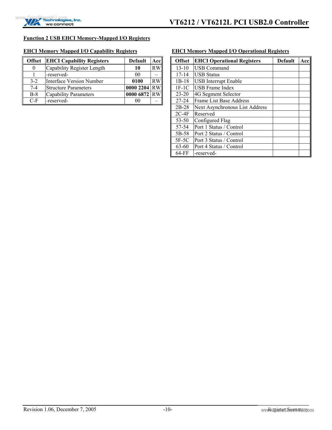#### <span id="page-15-0"></span>**Function 2 USB EHCI Memory-Mapped I/O Registers**

#### <span id="page-15-1"></span>**EHCI Memory Mapped I/O Capability Registers**

| <b>Offset</b> | <b>EHCI Capability Registers</b> | <b>Default</b> | Acc       |
|---------------|----------------------------------|----------------|-----------|
| 0             | Capability Register Length       | 10             | RW        |
|               | -reserved-                       | 00             |           |
| $3 - 2$       | Interface Version Number         | 0100           | <b>RW</b> |
| $7-4$         | <b>Structure Parameters</b>      | 0000 2204      | RW        |
| $B-8$         | Capability Parameters            | 0000 6872 RW   |           |
| C-F           | -reserved-                       |                |           |

#### <span id="page-15-2"></span>**EHCI Memory Mapped I/O Operational Registers**

| <b>Offset</b> | <b>EHCI Operational Registers</b><br>Default |  | Acc |
|---------------|----------------------------------------------|--|-----|
| $13 - 10$     | <b>USB Command</b>                           |  |     |
| 17-14         | <b>USB Status</b>                            |  |     |
| $1B-18$       | <b>USB</b> Interrupt Enable                  |  |     |
| $1F-1C$       | <b>USB</b> Frame Index                       |  |     |
| $23 - 20$     | 4G Segment Selector                          |  |     |
| $27 - 24$     | Frame List Base Address                      |  |     |
| $2B-28$       | Next Asynchronous List Address               |  |     |
| $2C-4F$       | Reserved                                     |  |     |
| $53 - 50$     | Configured Flag                              |  |     |
| 57-54         | Port 1 Status / Control                      |  |     |
| 5B-58         | Port 2 Status / Control                      |  |     |
| 5F-5C         | Port 3 Status / Control                      |  |     |
| $63 - 60$     | Port 4 Status / Control                      |  |     |
| 64-FF         | -reserved-                                   |  |     |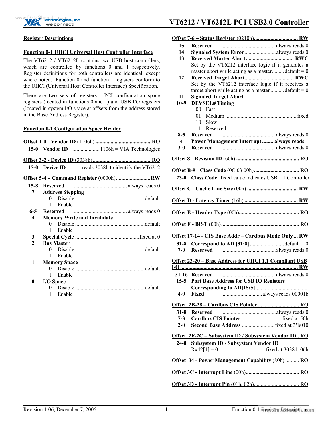

### **Echnologies, Inc.** VT6212 / VT6212L PCI USB2.0 Controller

**Offset 7-6 – Status Register** (0210h)**................................ RW**

#### <span id="page-16-0"></span>**Register Descriptions**

#### <span id="page-16-1"></span>**Function 0-1 UHCI Universal Host Controller Interface**

The VT6212 / VT6212L contains two USB host controllers, which are controlled by functions 0 and 1 respectively. Register definitions for both controllers are identical, except where noted. Function 0 and function 1 registers conform to the UHCI (Universal Host Controller Interface) Specification.

There are two sets of registers: PCI configuration space registers (located in functions 0 and 1) and USB I/O registers (located in system I/O space at offsets from the address stored in the Base Address Register).

#### <span id="page-16-2"></span>**Function 0-1 Configuration Space Header**

|                    |                 |                         |                                    | 15-0 Device ID reads 3038h to identify the VT6212 |
|--------------------|-----------------|-------------------------|------------------------------------|---------------------------------------------------|
|                    |                 |                         |                                    |                                                   |
| $15 - 8$           | <b>Reserved</b> |                         |                                    | $\ldots$ always reads 0                           |
| 7                  |                 | <b>Address Stepping</b> |                                    |                                                   |
|                    | 0               |                         |                                    |                                                   |
|                    | 1               | Enable                  |                                    |                                                   |
| 6-5 $\overline{a}$ | <b>Reserved</b> |                         |                                    |                                                   |
| 4                  |                 |                         | <b>Memory Write and Invalidate</b> |                                                   |
|                    | 0               |                         |                                    |                                                   |
|                    | 1               | Enable                  |                                    |                                                   |
| 3                  |                 |                         |                                    |                                                   |
| $\mathbf{2}$       |                 | <b>Bus Master</b>       |                                    |                                                   |
|                    | 0               |                         |                                    |                                                   |
|                    | 1               | Enable                  |                                    |                                                   |
| 1                  |                 | <b>Memory Space</b>     |                                    |                                                   |
|                    | 0               |                         |                                    |                                                   |
|                    | 1               | Enable                  |                                    |                                                   |
| 0                  |                 | I/O Space               |                                    |                                                   |
|                    | 0               |                         |                                    |                                                   |
|                    | 1               | Enable                  |                                    |                                                   |
|                    |                 |                         |                                    |                                                   |
|                    |                 |                         |                                    |                                                   |
|                    |                 |                         |                                    |                                                   |
|                    |                 |                         |                                    |                                                   |
|                    |                 |                         |                                    |                                                   |

| 15                      | Reserved                                                     |
|-------------------------|--------------------------------------------------------------|
| 14                      | Signaled System Erroralways reads 0                          |
| 13                      |                                                              |
|                         | Set by the VT6212 interface logic if it generates a          |
|                         | master abort while acting as a master default = $0$          |
| 12                      |                                                              |
|                         | Set by the VT6212 interface logic if it receives a           |
|                         | target abort while acting as a master  default = $0$         |
| 11                      | <b>Signaled Target Abort</b>                                 |
| $10-9$                  | <b>DEVSEL#Timing</b>                                         |
|                         | 00 Fast                                                      |
|                         | 01.                                                          |
|                         | $10$ Slow                                                    |
|                         | Reserved<br>11                                               |
| $8-5$                   |                                                              |
| $\overline{\mathbf{4}}$ | Power Management Interrupt  always reads 1                   |
| $3-0$                   |                                                              |
|                         |                                                              |
|                         |                                                              |
|                         |                                                              |
|                         |                                                              |
|                         | 23-0 Class Code fixed value indicates USB 1.1 Controller     |
|                         |                                                              |
|                         |                                                              |
|                         |                                                              |
|                         |                                                              |
|                         |                                                              |
|                         |                                                              |
|                         | Offset 17-14 - CIS Base Addr - Cardbus Mode Only  RW         |
|                         | 31-8 Correspond to AD [31:8] default = $0$                   |
|                         |                                                              |
|                         | Offset 23-20 - Base Address for UHCI 1.1 Compliant USB       |
|                         |                                                              |
|                         |                                                              |
|                         |                                                              |
|                         | 15-5 Port Base Address for USB IO Registers                  |
|                         |                                                              |
| $4-0$                   | Fixed                                                        |
|                         | Offset 2B-28 - Cardbus CIS Pointer  RO                       |
| $31 - 8$                | <b>Reserved</b>                                              |
| $7 - 3$                 |                                                              |
|                         |                                                              |
| $2-0$                   |                                                              |
|                         | <u> Offset 2F-2C – Subsystem ID / Subsystem Vendor ID RO</u> |
| $24-0$                  | Subsystem ID / Subsystem Vendor ID                           |
|                         |                                                              |
|                         |                                                              |
|                         | Offset 34 - Power Management Capability (80h)  RO            |
|                         |                                                              |

**Offset 3D - Interrupt Pin** (01h, 02h)................................. **RO**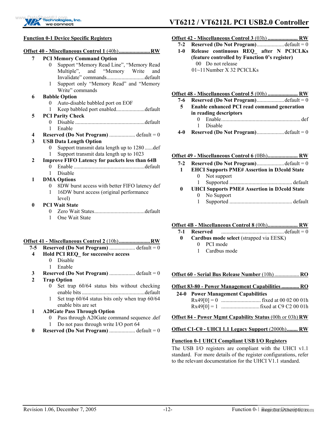

#### <span id="page-17-0"></span>**Function 0-1 Device Specific Registers**

|              | Offset 40 - Miscellaneous Control 1 (40h)RW                    |
|--------------|----------------------------------------------------------------|
| 7            | <b>PCI Memory Command Option</b>                               |
|              | Support "Memory Read Line", "Memory Read<br>0                  |
|              | Multiple", and "Memory Write<br>and                            |
|              | Invalidate" commandsdefault                                    |
|              | Support only "Memory Read" and "Memory<br>1<br>Write" commands |
| 6            | <b>Babble Option</b>                                           |
|              | Auto-disable babbled port on EOF<br>$\overline{0}$             |
|              | 1                                                              |
| 5            | <b>PCI Parity Check</b>                                        |
|              | 0                                                              |
|              | Enable<br>1                                                    |
| 4            | <b>Reserved (Do Not Program)</b> default = $0$                 |
| 3            | <b>USB Data Length Option</b>                                  |
|              | Support transmit data length up to 1280 def<br>0               |
|              | Support transmit data length up to 1023<br>1                   |
| $\mathbf{2}$ | Improve FIFO Latency for packets less than 64B                 |
|              | $\Omega$                                                       |
|              | Disable<br>1                                                   |
| 1            | <b>DMA Options</b>                                             |
|              | 8DW burst access with better FIFO latency def<br>$\theta$      |
|              | 16DW burst access (original performance<br>1                   |
|              | level)                                                         |
| $\bf{0}$     | <b>PCI Wait State</b>                                          |
|              | 0                                                              |
|              | One Wait State<br>1                                            |

#### **Offset 41 - Miscellaneous Control 2** (10h)**.......................RW**

- **7-5 Reserved (Do Not Program)** ................... default = 0
- **4 Hold PCI REQ\_ for successive access** 
	- 0 Disable
	- 1 Enable
- **3 Reserved (Do Not Program)** ................... default = 0
- **2 Trap Option** 
	- 0 Set trap 60/64 status bits without checking enable bits..............................................default
	- 1 Set trap 60/64 status bits only when trap 60/64 enable bits are set

#### **1 A20Gate Pass Through Option**

- 0 Pass through A20Gate command sequence .def 1 Do not pass through write I/O port 64
- **0 Reserved (Do Not Program)** ................... default = 0

## **ECONOGLES, Inc.** VT6212 / VT6212L PCI USB2.0 Controller

#### **Offset 42 - Miscellaneous Control 3** (03h) **...................... RW**

- **7-2 Reserved (Do Not Program)**....................default = 0
- **1-0 Release continuous REQ\_ after N PCICLKs (feature controlled by Function 0's register)** 00 Do not release
	- 01~11 Number X 32 PCICLKs

#### **Offset 48 - Miscellaneous Control 5** (00h) **...................... RW**

- **7-6 Reserved (Do Not Program)**....................default = 0
- **5 Enable enhanced PCI read command generation in reading descriptors** 0 Enable.......................................................... def
	- 1 Disable
- **4-0 Reserved (Do Not Program)**....................default = 0

|       | Offset 49 - Miscellaneous Control 6 (0Bh) RW        |  |
|-------|-----------------------------------------------------|--|
| $7-2$ | Reserved (Do Not Program)default = $0$              |  |
|       | <b>EHCI Supports PME# Assertion in D3cold State</b> |  |
|       | 0 Not support                                       |  |
|       |                                                     |  |
| 0     | <b>UHCI Supports PME# Assertion in D3cold State</b> |  |
|       | 0 No Support                                        |  |
|       |                                                     |  |

#### **Offset 4B - Miscellaneous Control 8** (00h)**...................... RW**

#### **7-1 Reserved** ..............................................default = 0  **0 Cardbus mode select** (strapped via EESK) 0 PCI mode

1 Cardbus mode

#### **Offset 60 - Serial Bus Release Number** (10h) .................. **RO**

#### **Offset 83-80 - Power Management Capabilities ............. RO**

 **24-0 Power Management Capabilities**  Rx49[0] = 0 ............................. fixed at 00 02 00 01h Rx49[0] = 1 ............................fixed at C9 C2 00 01h

#### **Offset 84 - Power Mgmt Capability Status** (00h or 03h) **RW**

#### **Offset C1-C0 - UHCI 1.1 Legacy Support** (2000h)**........ RW**

#### **Function 0-1 UHCI Compliant USB I/O Registers**

The USB I/O registers are compliant with the UHCI v1.1 standard. For more details of the register configurations, refer to the relevant documentation for the UHCI V1.1 standard.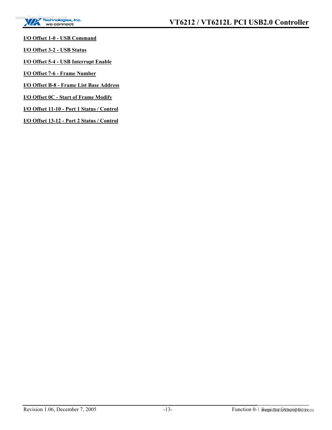

**I/O Offset 1-0 - USB Command**

**I/O Offset 3-2 - USB Status**

**I/O Offset 5-4 - USB Interrupt Enable**

**I/O Offset 7-6 - Frame Number**

**I/O Offset B-8 - Frame List Base Address**

**I/O Offset 0C - Start of Frame Modify**

**I/O Offset 11-10 - Port 1 Status / Control**

**I/O Offset 13-12 - Port 2 Status / Control**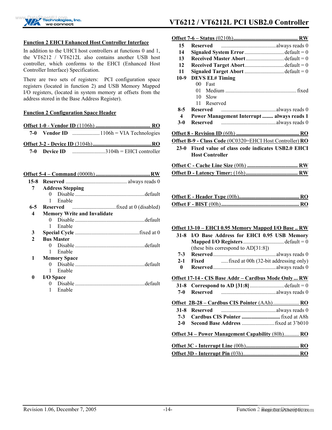

## **Echnologies, Inc.** VT6212 / VT6212L PCI USB2.0 Controller

#### <span id="page-19-0"></span>**Function 2 EHCI Enhanced Host Controller Interface**

In addition to the UHCI host controllers at functions 0 and 1, the VT6212 / VT6212L also contains another USB host controller, which conforms to the EHCI (Enhanced Host Controller Interface) Specification.

There are two sets of registers: PCI configuration space registers (located in function 2) and USB Memory Mapped I/O registers, (located in system memory at offsets from the address stored in the Base Address Register).

#### <span id="page-19-1"></span>**Function 2 Configuration Space Header**

| 7-0 Vendor ID $\ldots$ $1106h = VIA$ Technologies |
|---------------------------------------------------|
|                                                   |
| 7-0 Device ID $\ldots$ $3104h = EHCI$ controller  |
|                                                   |
|                                                   |

| 7        | <b>Address Stepping</b>            |  |
|----------|------------------------------------|--|
|          | $\Omega$                           |  |
|          | Enable<br>1                        |  |
| $6 - 5$  |                                    |  |
| 4        | <b>Memory Write and Invalidate</b> |  |
|          | 0.                                 |  |
|          | Enable                             |  |
| 3        |                                    |  |
| 2        | <b>Bus Master</b>                  |  |
|          |                                    |  |
|          | 1<br>Enable                        |  |
| 1        | <b>Memory Space</b>                |  |
|          | $\Omega$                           |  |
|          | Enable<br>1                        |  |
| $\bf{0}$ | <b>I/O</b> Space                   |  |
|          |                                    |  |
|          | Enable                             |  |
|          |                                    |  |

| 15               |                                                          |
|------------------|----------------------------------------------------------|
| 14               | <b>Signaled System Error</b> default = $0$               |
| 13               | Received Master Abortdefault = 0                         |
| 12               | Received Target Abortdefault = 0                         |
| 11               | Signaled Target Abort default = 0                        |
| $10-9$           | <b>DEVS EL# Timing</b>                                   |
|                  | 00-<br>Fast                                              |
|                  | 01.                                                      |
|                  | Slow<br>10                                               |
|                  | Reserved<br>11                                           |
| $8-5$            | <b>Reserved</b>                                          |
| $\boldsymbol{4}$ | Power Management Interrupt  always reads 1               |
| $3-0$            |                                                          |
|                  |                                                          |
|                  | Offset B-9 - Class Code (0C0320=EHCI Host Controller) RO |
| $23-0$           | Fixed value of class code indicates USB2.0 EHCI          |
|                  | <b>Host Controller</b>                                   |
|                  |                                                          |
|                  |                                                          |
|                  |                                                          |
|                  |                                                          |
|                  |                                                          |

#### **Offset 13-10 – EHCI 0.95 Memory Mapped I/O Base .. RW**

| $31 - 8$                                                 | I/O Base Address for EHCI 0.95 USB Memory            |  |  |
|----------------------------------------------------------|------------------------------------------------------|--|--|
|                                                          | <b>Mapped I/O Registers</b> default = $0$            |  |  |
|                                                          | (these bits correspond to $AD[31:8]$ )               |  |  |
| $7 - 3$                                                  |                                                      |  |  |
| $2 - 1$                                                  | <b>Fixed</b> fixed at 00h (32-bit addressing only)   |  |  |
| 0                                                        |                                                      |  |  |
|                                                          | Offset 17-14 - CIS Base Addr – Cardbus Mode Only  RW |  |  |
|                                                          | 31-8 Correspond to AD [31:8] default = 0             |  |  |
| 7-0                                                      |                                                      |  |  |
|                                                          | Offset 2B-28 - Cardbus CIS Pointer (AAh) RO          |  |  |
|                                                          |                                                      |  |  |
|                                                          |                                                      |  |  |
| $2-0$                                                    |                                                      |  |  |
| <u> Offset 34 – Power Management Capability (80h) RO</u> |                                                      |  |  |
|                                                          |                                                      |  |  |
|                                                          |                                                      |  |  |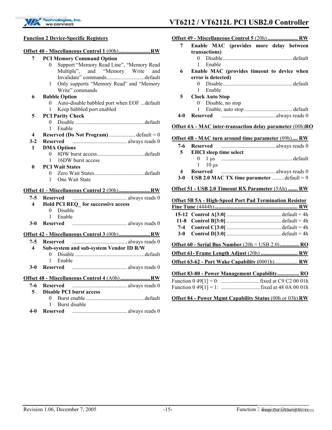

### **VT6212 / VT6212L PCI USB2.0 Controller** we connect

#### <span id="page-20-0"></span>**Function 2 Device-Specific Registers**

| 7                       | <b>PCI Memory Command Option</b>                              |
|-------------------------|---------------------------------------------------------------|
|                         | Support "Memory Read Line", "Memory Read<br>$\boldsymbol{0}$  |
|                         | Multiple", and "Memory Write and                              |
|                         | Invalidate" commandsdefault                                   |
|                         | Only supports "Memory Read" and "Memory<br>1                  |
|                         | Write" commands                                               |
| 6                       | <b>Babble Option</b>                                          |
|                         | Auto-disable babbled port when EOF  default<br>$\overline{0}$ |
|                         | Keep babbled port enabled<br>$\mathbf{1}$                     |
| 5                       | <b>PCI Parity Check</b>                                       |
|                         | 0                                                             |
|                         | Enable<br>$\mathbf{1}$                                        |
| $\overline{\mathbf{4}}$ |                                                               |
| $3 - 2$                 |                                                               |
| $\mathbf{1}$            | <b>DMA Options</b><br>0                                       |
|                         | 16DW burst access<br>1                                        |
| 0                       | <b>PCI Wait States</b>                                        |
|                         | $\mathbf{0}$                                                  |
|                         | One Wait State<br>1                                           |
|                         |                                                               |
|                         |                                                               |
| $7-5$                   |                                                               |
| 4                       | Hold PCI REQ for successive access                            |
|                         | 0 Disable                                                     |
|                         | Enable<br>$\mathbf{1}$                                        |
| $3-0$                   |                                                               |
|                         |                                                               |
|                         |                                                               |
| $7-5$                   |                                                               |
| $\overline{\mathbf{4}}$ | Sub-system and sub-system Vendor ID R/W<br>0.                 |
|                         | Enable<br>1                                                   |
| <b>3-0</b>              | <b>Reserved</b>                                               |
|                         |                                                               |
|                         | Offset 48 - Miscellaneous Control 4 (A0h)  RW                 |
| 7-6                     |                                                               |
| 5.                      | <b>Disable PCI burst access</b>                               |
|                         | 0                                                             |
|                         | 1<br>Burst disable                                            |

 **4-0 Reserved** ........................................ always reads 0

#### **Offset 49 - Miscellaneous Control 5** (20h) **...................... RW**

| 7   | Enable MAC (provides more delay between     |
|-----|---------------------------------------------|
|     | transactions)                               |
|     | 0                                           |
|     | Enable                                      |
| 6   | Enable MAC (provides timeout to device when |
|     | error is detected)                          |
|     | 0                                           |
|     | Enable                                      |
| 5   | <b>Clock Auto Stop</b>                      |
|     | Disable, no stop<br>$\bf{0}$                |
|     |                                             |
| 4-0 |                                             |

#### **Offset 4A - MAC inter-transaction delay parameter** (00h)**RO**

#### **Offset 4B - MAC turn around time parameter** (09h)**.... RW**

| 5.         | <b>EHCI</b> sleep time select              |  |
|------------|--------------------------------------------|--|
|            | $1\quad 10$ us                             |  |
| 4<br>$3-0$ | USB 2.0 MAC TX time parameter  default = 9 |  |

#### **Offset 51 - USB 2.0 Timeout RX Parameter** (5Ah) **....... RW**

#### **Offset 5B 5A - High-Speed Port Pad Termination Resistor**

| $3-0$ |                                                              |
|-------|--------------------------------------------------------------|
|       | Offset $60$ - Serial Bus Number $(20h = \text{USB } 2.0)$ RO |
|       | Offset 61- Frame Length Adjust (20h)  RW                     |
|       |                                                              |
|       | <b>Offset 83-80 - Power Management Capability RO</b>         |
|       |                                                              |

#### **Offset 84 - Power Mgmt Capability Status** (00h or 03h) **RW**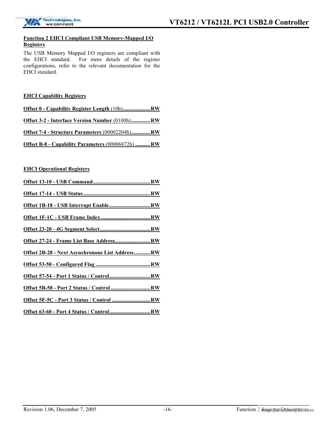

#### <span id="page-21-0"></span>**Function 2 EHCI Compliant USB Memory-Mapped I/O Registers**

The USB Memory Mapped I/O registers are compliant with the EHCI standard. For more details of the register configurations, refer to the relevant documentation for the EHCI standard.

#### <span id="page-21-1"></span>**EHCI Capability Registers**

| Offset 0 - Capability Register Length (10h)RW          |  |
|--------------------------------------------------------|--|
| Offset 3-2 - Interface Version Number (0100h)RW        |  |
| <b>Offset 7-4 - Structure Parameters (00002204h)RW</b> |  |
| Offset B-8 - Capability Parameters (00006872h) RW      |  |

#### <span id="page-21-2"></span>**EHCI Operational Registers**

| Offset 2B-28 - Next Asynchronous List AddressRW |
|-------------------------------------------------|
|                                                 |
|                                                 |
|                                                 |
| Offset 5F-5C - Port 3 Status / Control RW       |
|                                                 |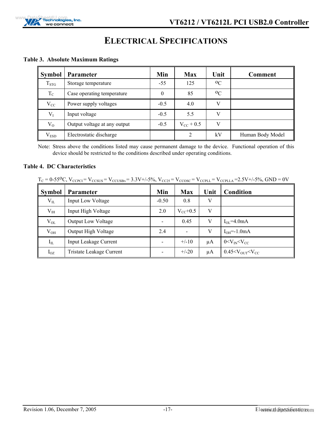

## <span id="page-22-0"></span>**ELECTRICAL SPECIFICATIONS**

#### <span id="page-22-1"></span>**Table 3. Absolute Maximum Ratings**

| <b>Symbol</b> | <b>Parameter</b>             | Min      | <b>Max</b>     | Unit    | <b>Comment</b>   |
|---------------|------------------------------|----------|----------------|---------|------------------|
| $T_{STG}$     | Storage temperature          | $-55$    | 125            | $^{0}C$ |                  |
| $T_{C}$       | Case operating temperature   | $\Omega$ | 85             | $^{0}C$ |                  |
| $V_{CC}$      | Power supply voltages        | $-0.5$   | 4.0            | V       |                  |
| $V_I$         | Input voltage                | $-0.5$   | 5.5            | V       |                  |
| $V_{O}$       | Output voltage at any output | $-0.5$   | $V_{CC}$ + 0.5 | V       |                  |
| $\rm V_{ESD}$ | Electrostatic discharge      |          | $\overline{2}$ | kV      | Human Body Model |

Note: Stress above the conditions listed may cause permanent damage to the device. Functional operation of this device should be restricted to the conditions described under operating conditions.

#### <span id="page-22-2"></span>**Table 4. DC Characteristics**

|  | $T_C = 0.55^{\circ}C$ , $V_{CCPCI} = V_{CCSUS} = V_{CCUSBN} = 3.3V + 5\%$ , $V_{CC25} = V_{CCOSC} = V_{CCPLL} = V_{CCPLLA} = 2.5V + 5\%$ , $GND = 0V$ |
|--|-------------------------------------------------------------------------------------------------------------------------------------------------------|
|  |                                                                                                                                                       |

| <b>Symbol</b> | <b>Parameter</b>             | Min                      | <b>Max</b>               | Unit | Condition                               |
|---------------|------------------------------|--------------------------|--------------------------|------|-----------------------------------------|
| $\rm V_{II}$  | Input Low Voltage            | $-0.50$                  | 0.8                      | V    |                                         |
| $V_{IH}$      | Input High Voltage           | 2.0                      | $V_{CC}$ +0.5            | V    |                                         |
| $V_{OL}$      | <b>Output Low Voltage</b>    | $\overline{\phantom{a}}$ | 0.45                     | V    | $I_{OL} = 4.0mA$                        |
| $V_{OH}$      | Output High Voltage          | 2.4                      | $\overline{\phantom{a}}$ | V    | $IOH=-1.0mA$                            |
| $I_{IL}$      | <b>Input Leakage Current</b> | $\overline{\phantom{a}}$ | $+/-10$                  | μA   | $0 < V_{IN} < V_{CC}$                   |
| $I_{OZ}$      | Tristate Leakage Current     | $\overline{\phantom{a}}$ | $+/-20$                  | μA   | $0.45 < V_{\text{OUT}} < V_{\text{CC}}$ |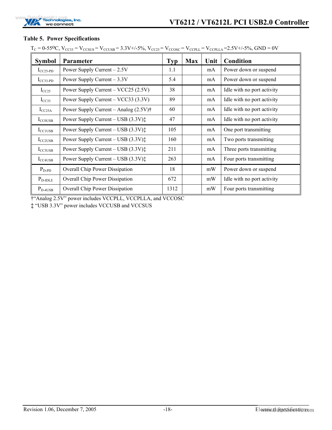

#### <span id="page-23-0"></span>**Table 5. Power Specifications**

 $T_{C} = 0.55\text{°C}$ ,  $V_{CC33} = V_{CCSUS} = V_{CCUSB} = 3.3V+/5\%$ ,  $V_{CC25} = V_{CCOSC} = V_{CCDLL} = V_{CCDLLA} = 2.5V+/5\%$ ,  $GND = 0V$ 

| <b>Symbol</b>       | Parameter                                        | <b>Typ</b> | <b>Max</b> | Unit | <b>Condition</b>           |
|---------------------|--------------------------------------------------|------------|------------|------|----------------------------|
| $I_{CC25-PD}$       | Power Supply Current $-2.5V$                     | 1.1        |            | mA   | Power down or suspend      |
| $I_{CC33-PD}$       | Power Supply Current $-3.3V$                     | 5.4        |            | mA   | Power down or suspend      |
| $I_{CC25}$          | Power Supply Current - VCC25 (2.5V)              | 38         |            | mA   | Idle with no port activity |
| $I_{CC33}$          | Power Supply Current – VCC33 (3.3V)              | 89         |            | mA   | Idle with no port activity |
| $I_{CC25A}$         | Power Supply Current – Analog $(2.5V)^{\dagger}$ | 60         |            | mA   | Idle with no port activity |
| $I_{CCOUSB}$        | Power Supply Current – USB (3.3V):               | 47         |            | mA   | Idle with no port activity |
| $I_{\text{CCIUSB}}$ | Power Supply Current – USB $(3.3V)\ddagger$      | 105        |            | mA   | One port transmitting      |
| $I_{CC2USB}$        | Power Supply Current – USB $(3.3V)\ddagger$      | 160        |            | mA   | Two ports transmitting     |
| $I_{CC3USB}$        | Power Supply Current – USB (3.3V):               | 211        |            | mA   | Three ports transmitting   |
| $I_{\text{CC4USB}}$ | Power Supply Current – USB $(3.3V)\ddagger$      | 263        |            | mA   | Four ports transmitting    |
| $P_{D-PD}$          | <b>Overall Chip Power Dissipation</b>            | 18         |            | mW   | Power down or suspend      |
| $P_{D-IDLE}$        | Overall Chip Power Dissipation                   | 672        |            | mW   | Idle with no port activity |
| $P_{D-4USB}$        | Overall Chip Power Dissipation                   | 1312       |            | mW   | Four ports transmitting    |

†"Analog 2.5V" power includes VCCPLL, VCCPLLA, and VCCOSC

**‡** "USB 3.3V" power includes VCCUSB and VCCSUS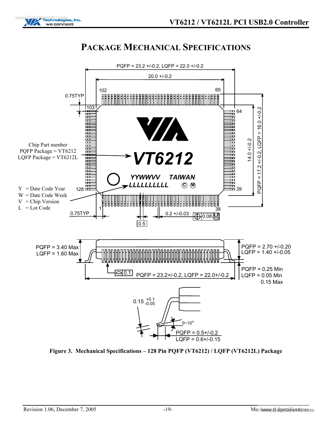

## <span id="page-24-0"></span>**PACKAGE MECHANICAL SPECIFICATIONS**



<span id="page-24-1"></span>**Figure 3. Mechanical Specifications – 128 Pin PQFP (VT6212) / LQFP (VT6212L) Package**